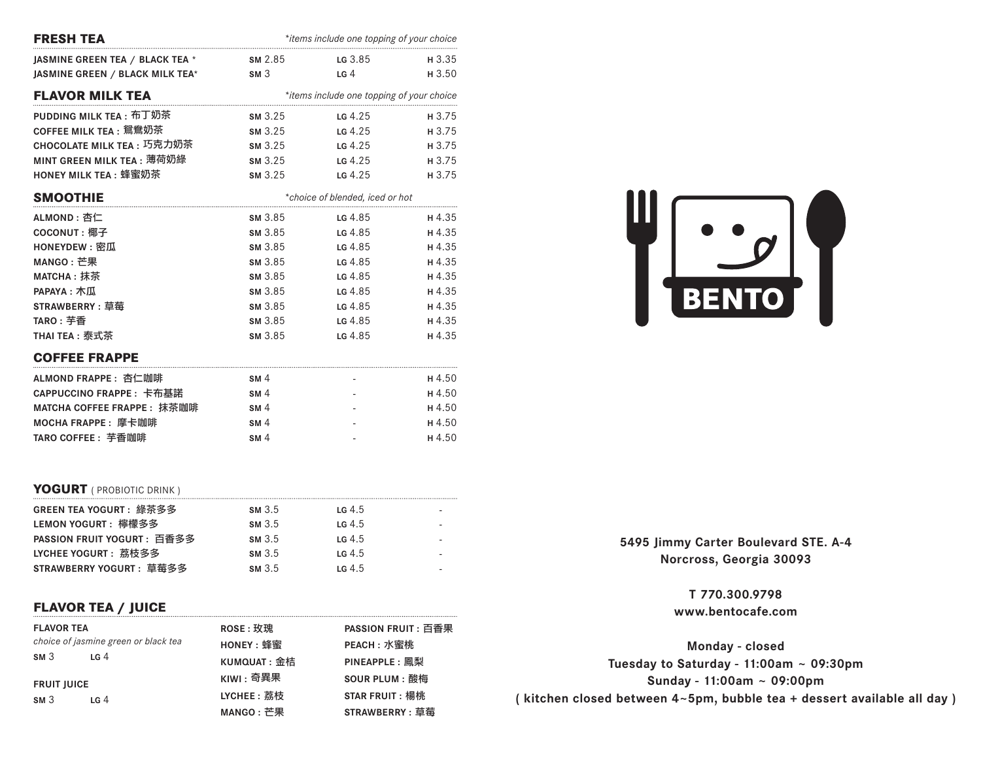| <b>FRESH TEA</b>                |                 | *items include one topping of your choice |        |
|---------------------------------|-----------------|-------------------------------------------|--------|
| JASMINE GREEN TEA / BLACK TEA * | SM 2.85         | LG $3.85$                                 | H 3.35 |
| JASMINE GREEN / BLACK MILK TEA* | SM3             | LG <sub>4</sub>                           | H 3.50 |
| <b>FLAVOR MILK TEA</b>          |                 | *items include one topping of your choice |        |
| PUDDING MILK TEA : 布丁奶茶         | <b>SM</b> 3.25  | LG $4.25$                                 | H 3.75 |
| COFFEE MILK TEA: 鴛鴦奶茶           | <b>SM</b> 3.25  | LG $4.25$                                 | H 3.75 |
| CHOCOLATE MILK TEA : 巧克力奶茶      | SM 3.25         | $LG$ 4.25                                 | H 3.75 |
| MINT GREEN MILK TEA: 薄荷奶綠       | <b>SM</b> 3.25  | <b>LG</b> 4.25                            | H 3.75 |
| HONEY MILK TEA : 蜂蜜奶茶           | <b>SM</b> 3.25  | LG $4.25$                                 | H 3.75 |
| <b>SMOOTHIE</b>                 |                 | *choice of blended, iced or hot           |        |
| ALMOND: 杏仁                      | <b>SM</b> 3.85  | <b>LG</b> 4.85                            | H 4.35 |
| <b>COCONUT: 椰子</b>              | <b>SM</b> 3.85  | <b>LG</b> 4.85                            | H4.35  |
| <b>HONEYDEW: 密瓜</b>             | <b>SM</b> 3.85  | LG 4.85                                   | H4.35  |
| MANGO: 芒果                       | <b>SM</b> 3.85  | LG 4.85                                   | H4.35  |
| MATCHA: 抹茶                      | SM 3.85         | LG $4.85$                                 | H4.35  |
| PAPAYA: 木瓜                      | SM 3.85         | LG 4.85                                   | H4.35  |
| <b>STRAWBERRY: 草莓</b>           | SM 3.85         | LG 4.85                                   | H4.35  |
| TARO: 芋香                        | <b>SM</b> 3.85  | <b>LG</b> 4.85                            | H4.35  |
| THAI TEA: 泰式茶                   | SM 3.85         | LG 4.85                                   | H4.35  |
| <b>COFFEE FRAPPE</b>            |                 |                                           |        |
| ALMOND FRAPPE: 杏仁咖啡             | SM <sub>4</sub> |                                           | H 4.50 |
| CAPPUCCINO FRAPPE : 卡布基諾        | SM <sub>4</sub> |                                           | H 4.50 |
| MATCHA COFFEE FRAPPE : 抹茶咖啡     | SM <sub>4</sub> |                                           | H 4.50 |
| MOCHA FRAPPE: 摩卡咖啡              | SM <sub>4</sub> |                                           | H4.50  |

#### **YOGURT** ( PROBIOTIC DRINK )

| GREEN TEA YOGURT:綠茶多多       | <b>SM</b> 3.5 | LG $4.5$          |  |
|-----------------------------|---------------|-------------------|--|
| LEMON YOGURT:檸檬多多           | <b>SM</b> 3.5 | LG4.5             |  |
| PASSION FRUIT YOGURT : 百香多多 | <b>SM</b> 3.5 | LG <sub>4.5</sub> |  |
| LYCHEE YOGURT : 荔枝多多        | <b>SM</b> 3.5 | LG <sub>4.5</sub> |  |
| STRAWBERRY YOGURT:草莓多多      | <b>SM</b> 3.5 | LG <sub>4.5</sub> |  |

**TARO COFFEE :** 芋香咖啡 **SM** 4 **- H** 4.50

## **FLAVOR TEA / JUICE**

| <b>FLAVOR TEA</b>  | choice of jasmine green or black tea | <b>ROSE: 玫瑰</b><br>HONEY: 蜂蜜 | <b>PASSION FRUIT: 百香果</b><br>PEACH: 水蜜桃 |
|--------------------|--------------------------------------|------------------------------|-----------------------------------------|
| SM3                | LG $4$                               | KUMQUAT: 金桔                  | <b>PINEAPPLE: 鳳梨</b>                    |
| <b>FRUIT JUICE</b> |                                      | $K$ IWI : 奇異果                | <b>SOUR PLUM: 酸梅</b>                    |
| SM <sub>3</sub>    | LG <sub>4</sub>                      | LYCHEE: 荔枝                   | <b>STAR FRUIT: 楊桃</b>                   |
|                    |                                      | MANGO: 芒果                    | <b>STRAWBERRY: 草莓</b>                   |



5495 Jimmy Carter Boulevard STE. A-4 **Norcross, Georgia 30093**

> **T 770.300.9798 www.bentocafe.com**

**Monday - closed Tuesday to Saturday - 11:00am ~ 09:30pm Sunday - 11:00am ~ 09:00pm ( kitchen closed between 4~5pm, bubble tea + dessert available all day )**